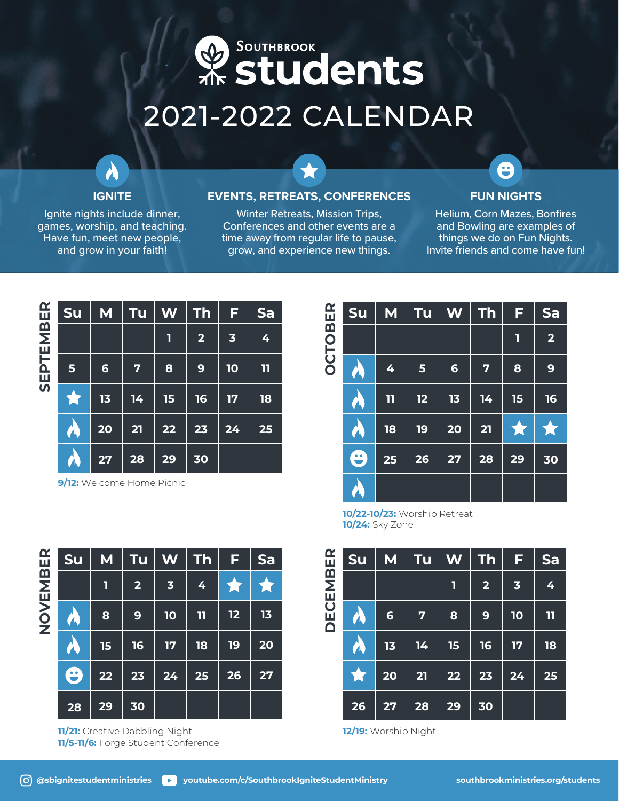## **ResourthBROOK** 2021-2022 CALENDAR

## **IGNITE**

Ignite nights include dinner, games, worship, and teaching. Have fun, meet new people, and grow in your faith!

## **EVENTS, RETREATS, CONFERENCES**

Winter Retreats, Mission Trips, Conferences and other events are a time away from regular life to pause, grow, and experience new things.

## **FUN NIGHTS**

 $\boldsymbol{\Theta}$ 

Helium, Corn Mazes, Bonfires and Bowling are examples of things we do on Fun Nights. Invite friends and come have fun!

| $\mathbf{R}$ | <b>Su</b>      | M               | Tu                      | W  | <b>Th</b>               | F                       | Sa           |
|--------------|----------------|-----------------|-------------------------|----|-------------------------|-------------------------|--------------|
| М<br>М       |                |                 |                         | 1  | $\overline{\mathbf{2}}$ | $\overline{\mathbf{3}}$ | 4            |
| EPTEI        | $5\phantom{1}$ | $6\phantom{1}6$ | $\overline{\mathbf{z}}$ | 8  | 9                       | 10                      | $\mathbf{1}$ |
| ທົ           |                | 13              | 14                      | 15 | 16                      | 17                      | 18           |
|              | $\sqrt{2}$     | 20              | 21                      | 22 | 23                      | 24                      | 25           |
|              | <b>A</b>       | 27              | 28                      | 29 | 30                      |                         |              |

**9/12:** Welcome Home Picnic

| ⊞<br>⊞      | Su        | M            | Tu | W               | <b>Th</b> | F  | Sa                      |
|-------------|-----------|--------------|----|-----------------|-----------|----|-------------------------|
| <u>ක</u>    |           |              |    |                 |           | 1  | $\overline{\mathbf{2}}$ |
| <b>OLDO</b> | W         | 4            | 5  | $6\phantom{1}6$ | 7         | 8  | 9                       |
|             | N         | $\mathbf{I}$ | 12 | 13              | 14        | 15 | 16                      |
|             | W         | 18           | 19 | 20              | 21        |    |                         |
|             | Ѳ         | 25           | 26 | 27              | 28        | 29 | 30                      |
|             | $\lambda$ |              |    |                 |           |    |                         |

**10/22-10/23:** Worship Retreat **10/24:** Sky Zone



**12/19:** Worship Night

| $\mathbf{E}$ | Su | M  | Tu                      | W                       | <b>Th</b>    | F  | Sa |
|--------------|----|----|-------------------------|-------------------------|--------------|----|----|
| EMBI         |    | 1  | $\overline{\mathbf{2}}$ | $\overline{\mathbf{3}}$ | 4            |    |    |
| Ō<br>Z       | 八  | 8  | 9                       | 10                      | $\mathbf{u}$ | 12 | 13 |
|              |    | 15 | 16                      | 17                      | 18           | 19 | 20 |
|              | ⊖  | 22 | 23                      | 24                      | 25           | 26 | 27 |
|              | 28 | 29 | 30                      |                         |              |    |    |

**11/21:** Creative Dabbling Night **11/5-11/6:** Forge Student Conference